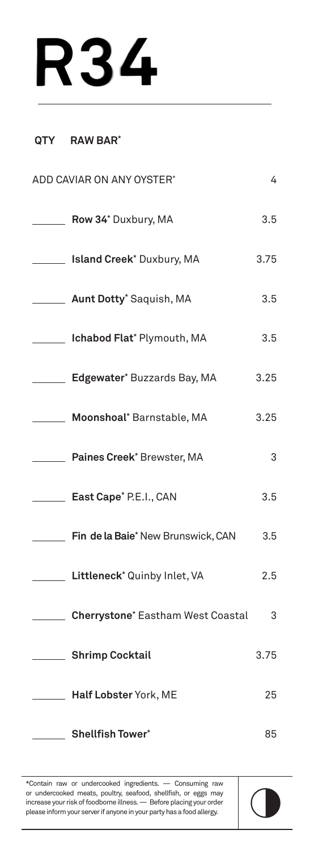## **R34**

## **QTY RAW BAR\***

| ADD CAVIAR ON ANY OYSTER*          | 4    |
|------------------------------------|------|
| Row 34* Duxbury, MA                | 3.5  |
| __ Island Creek* Duxbury, MA       | 3.75 |
| <b>Aunt Dotty</b> * Saquish, MA    | 3.5  |
| Ichabod Flat* Plymouth, MA         | 3.5  |
| Edgewater* Buzzards Bay, MA        | 3.25 |
| Moonshoal* Barnstable, MA          | 3.25 |
| Paines Creek* Brewster, MA         | 3    |
| East Cape* P.E.I., CAN             | 3.5  |
| Fin de la Baie* New Brunswick, CAN | 3.5  |
| Littleneck* Quinby Inlet, VA       | 2.5  |
| Cherrystone* Eastham West Coastal  | 3    |
| Shrimp Cocktail                    | 3.75 |
| Half Lobster York, ME              | 25   |
| Shellfish Tower*                   | 85   |

\*Contain raw or undercooked ingredients. — Consuming raw or undercooked meats, poultry, seafood, shellfish, or eggs may increase your risk of foodborne illness. — Before placing your order please inform your server if anyone in your party has a food allergy.